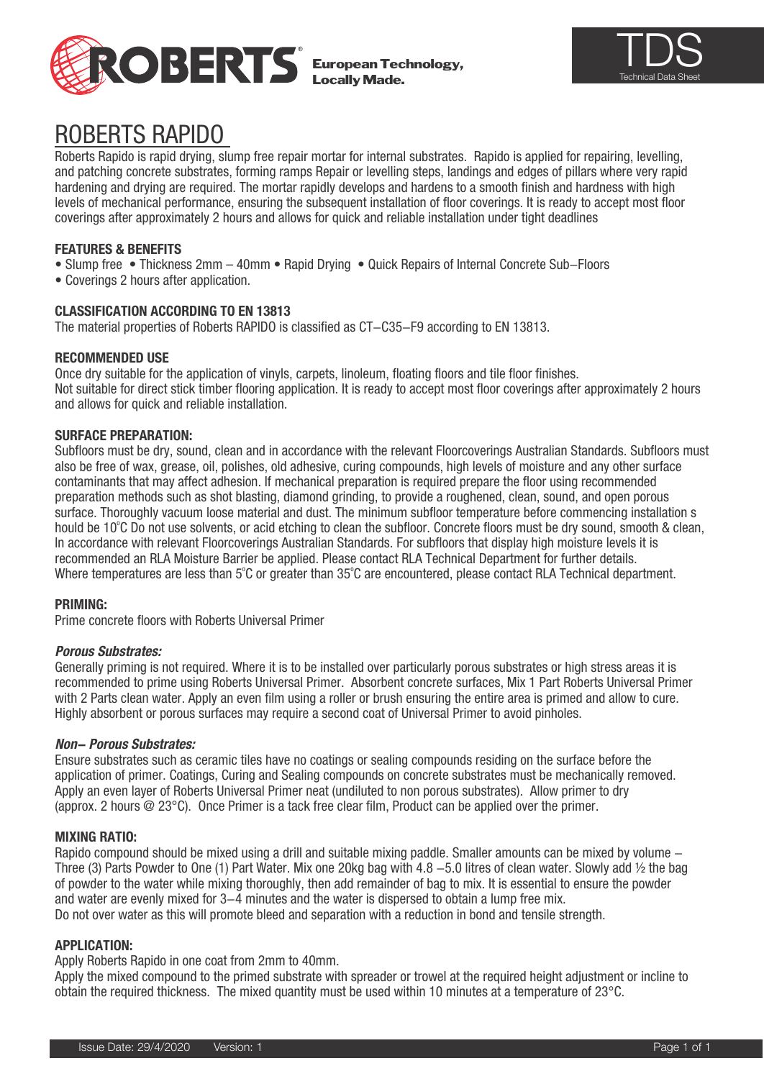

European Technology, Locally Made.



# ROBERTS RAPIDO

levels of mechanical performance, ensuring the subsequent installation of hoor coverings. It is ready to a<br>coverings after approximately 2 hours and allows for quick and reliable installation under tight deadlines Roberts Rapido is rapid drying, slump free repair mortar for internal substrates. Rapido is applied for repairing, levelling, and patching concrete substrates, forming ramps Repair or levelling steps, landings and edges of pillars where very rapid hardening and drying are required. The mortar rapidly develops and hardens to a smooth finish and hardness with high levels of mechanical performance, ensuring the subsequent installation of floor coverings. It is ready to accept most floor

# **FEATURES & BENEFITS**

- Slump free Thickness 2mm 40mm Rapid Drying Quick Repairs of Internal Concrete Sub-Floors
- Coverings 2 hours after application.

## **CLASSIFICATION ACCORDING TO EN 13813**

The material properties of Roberts RAPIDO is classified as CT-C35-F9 according to EN 13813.

#### **RECOMMENDED USE**

Once dry suitable for the application of vinyls, carpets, linoleum, floating floors and tile floor finishes. Not suitable for direct stick timber flooring application. It is ready to accept most floor coverings after approximately 2 hours and allows for quick and reliable installation.

#### **SURFACE PREPARATION:**

Subfloors must be dry, sound, clean and in accordance with the relevant Floorcoverings Australian Standards. Subfloors must also be free of wax, grease, oil, polishes, old adhesive, curing compounds, high levels of moisture and any other surface contaminants that may affect adhesion. If mechanical preparation is required prepare the floor using recommended preparation methods such as shot blasting, diamond grinding, to provide a roughened, clean, sound, and open porous surface. Thoroughly vacuum loose material and dust. The minimum subfloor temperature before commencing installation s hould be 10°C Do not use solvents, or acid etching to clean the subfloor. Concrete floors must be dry sound, smooth & clean, In accordance with relevant Floorcoverings Australian Standards. For subfloors that display high moisture levels it is recommended an RLA Moisture Barrier be applied. Please contact RLA Technical Department for further details. Where temperatures are less than 5°C or greater than 35°C are encountered, please contact RLA Technical department.

#### **PRIMING:**

Prime concrete floors with Roberts Universal Primer

### **Porous Substrates:**

Generally priming is not required. Where it is to be installed over particularly porous substrates or high stress areas it is recommended to prime using Roberts Universal Primer. Absorbent concrete surfaces, Mix 1 Part Roberts Universal Primer with 2 Parts clean water. Apply an even film using a roller or brush ensuring the entire area is primed and allow to cure. Highly absorbent or porous surfaces may require a second coat of Universal Primer to avoid pinholes.

#### **Non- Porous Substrates:**

Ensure substrates such as ceramic tiles have no coatings or sealing compounds residing on the surface before the application of primer. Coatings, Curing and Sealing compounds on concrete substrates must be mechanically removed. Apply an even layer of Roberts Universal Primer neat (undiluted to non porous substrates). Allow primer to dry (approx. 2 hours @ 23°C). Once Primer is a tack free clear film, Product can be applied over the primer.

#### **MIXING RATIO:**

Rapido compound should be mixed using a drill and suitable mixing paddle. Smaller amounts can be mixed by volume -Three (3) Parts Powder to One (1) Part Water. Mix one 20kg bag with 4.8  $-5.0$  litres of clean water. Slowly add  $\frac{1}{2}$  the bag of powder to the water while mixing thoroughly, then add remainder of bag to mix. It is essential to ensure the powder and water are evenly mixed for 3-4 minutes and the water is dispersed to obtain a lump free mix. Do not over water as this will promote bleed and separation with a reduction in bond and tensile strength.

### **APPLICATION:**

Apply Roberts Rapido in one coat from 2mm to 40mm.

Apply the mixed compound to the primed substrate with spreader or trowel at the required height adjustment or incline to obtain the required thickness. The mixed quantity must be used within 10 minutes at a temperature of 23°C.